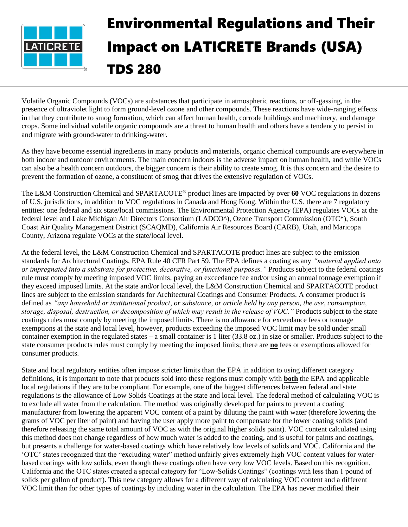

## Environmental Regulations and Their Impact on LATICRETE Brands (USA) TDS 280

Volatile Organic Compounds (VOCs) are substances that participate in atmospheric reactions, or off-gassing, in the presence of ultraviolet light to form ground-level ozone and other compounds. These reactions have wide-ranging effects in that they contribute to smog formation, which can affect human health, corrode buildings and machinery, and damage crops. Some individual volatile organic compounds are a threat to human health and others have a tendency to persist in and migrate with ground-water to drinking-water.

As they have become essential ingredients in many products and materials, organic chemical compounds are everywhere in both indoor and outdoor environments. The main concern indoors is the adverse impact on human health, and while VOCs can also be a health concern outdoors, the bigger concern is their ability to create smog. It is this concern and the desire to prevent the formation of ozone, a constituent of smog that drives the extensive regulation of VOCs.

The L&M Construction Chemical and SPARTACOTE® product lines are impacted by over **60** VOC regulations in dozens of U.S. jurisdictions, in addition to VOC regulations in Canada and Hong Kong. Within the U.S. there are 7 regulatory entities: one federal and six state/local commissions. The Environmental Protection Agency (EPA) regulates VOCs at the federal level and Lake Michigan Air Directors Consortium (LADCO^), Ozone Transport Commission (OTC\*), South Coast Air Quality Management District (SCAQMD), California Air Resources Board (CARB), Utah, and Maricopa County, Arizona regulate VOCs at the state/local level.

At the federal level, the L&M Construction Chemical and SPARTACOTE product lines are subject to the emission standards for Architectural Coatings, EPA Rule 40 CFR Part 59. The EPA defines a coating as any *"material applied onto or impregnated into a substrate for protective, decorative, or functional purposes."* Products subject to the federal coatings rule must comply by meeting imposed VOC limits, paying an exceedance fee and/or using an annual tonnage exemption if they exceed imposed limits. At the state and/or local level, the L&M Construction Chemical and SPARTACOTE product lines are subject to the emission standards for Architectural Coatings and Consumer Products. A consumer product is defined as *"any household or institutional product, or substance, or article held by any person, the use, consumption, storage, disposal, destruction, or decomposition of which may result in the release of VOC."* Products subject to the state coatings rules must comply by meeting the imposed limits. There is no allowance for exceedance fees or tonnage exemptions at the state and local level, however, products exceeding the imposed VOC limit may be sold under small container exemption in the regulated states – a small container is 1 liter (33.8 oz.) in size or smaller. Products subject to the state consumer products rules must comply by meeting the imposed limits; there are **no** fees or exemptions allowed for consumer products.

State and local regulatory entities often impose stricter limits than the EPA in addition to using different category definitions, it is important to note that products sold into these regions must comply with **both** the EPA and applicable local regulations if they are to be compliant. For example, one of the biggest differences between federal and state regulations is the allowance of Low Solids Coatings at the state and local level. The federal method of calculating VOC is to exclude all water from the calculation. The method was originally developed for paints to prevent a coating manufacturer from lowering the apparent VOC content of a paint by diluting the paint with water (therefore lowering the grams of VOC per liter of paint) and having the user apply more paint to compensate for the lower coating solids (and therefore releasing the same total amount of VOC as with the original higher solids paint). VOC content calculated using this method does not change regardless of how much water is added to the coating, and is useful for paints and coatings, but presents a challenge for water-based coatings which have relatively low levels of solids and VOC. California and the 'OTC' states recognized that the "excluding water" method unfairly gives extremely high VOC content values for waterbased coatings with low solids, even though these coatings often have very low VOC levels. Based on this recognition, California and the OTC states created a special category for "Low-Solids Coatings" (coatings with less than 1 pound of solids per gallon of product). This new category allows for a different way of calculating VOC content and a different VOC limit than for other types of coatings by including water in the calculation. The EPA has never modified their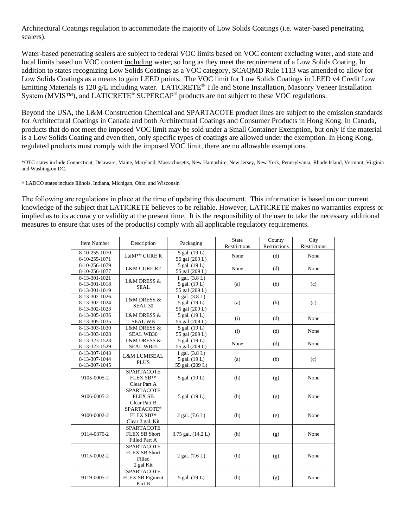Architectural Coatings regulation to accommodate the majority of Low Solids Coatings (i.e. water-based penetrating sealers).

Water-based penetrating sealers are subject to federal VOC limits based on VOC content excluding water, and state and local limits based on VOC content including water, so long as they meet the requirement of a Low Solids Coating. In addition to states recognizing Low Solids Coatings as a VOC category, SCAQMD Rule 1113 was amended to allow for Low Solids Coatings as a means to gain LEED points. The VOC limit for Low Solids Coatings in LEED v4 Credit Low Emitting Materials is 120 g/L including water. LATICRETE® Tile and Stone Installation, Masonry Veneer Installation System (MVIS™), and LATICRETE® SUPERCAP® products are not subject to these VOC regulations.

Beyond the USA, the L&M Construction Chemical and SPARTACOTE product lines are subject to the emission standards for Architectural Coatings in Canada and both Architectural Coatings and Consumer Products in Hong Kong. In Canada, products that do not meet the imposed VOC limit may be sold under a Small Container Exemption, but only if the material is a Low Solids Coating and even then, only specific types of coatings are allowed under the exemption. In Hong Kong, regulated products must comply with the imposed VOC limit, there are no allowable exemptions.

\*OTC states include Connecticut, Delaware, Maine, Maryland, Massachusetts, New Hampshire, New Jersey, New York, Pennsylvania, Rhode Island, Vermont, Virginia and Washington DC.

^ LADCO states include Illinois, Indiana, Michigan, Ohio, and Wisconsin

The following are regulations in place at the time of updating this document. This information is based on our current knowledge of the subject that LATICRETE believes to be reliable. However, LATICRETE makes no warranties express or implied as to its accuracy or validity at the present time. It is the responsibility of the user to take the necessary additional measures to ensure that uses of the product(s) comply with all applicable regulatory requirements.

| <b>Item Number</b>                              | Description                                                      | Packaging                                            | <b>State</b><br>Restrictions | County<br>Restrictions | City<br>Restrictions |
|-------------------------------------------------|------------------------------------------------------------------|------------------------------------------------------|------------------------------|------------------------|----------------------|
| 8-10-255-1070<br>8-10-255-1071                  | L&M™ CURE R                                                      | 5 gal. (19 L)<br>55 gal (209 L)                      | None                         | (d)                    | None                 |
| 8-10-256-1079<br>8-10-256-1077                  | <b>L&amp;M CURE R2</b>                                           | 5 gal. (19 L)<br>55 gal (209 L)                      | None                         | (d)                    | None                 |
| 8-13-301-1021<br>8-13-301-1018<br>8-13-301-1019 | <b>L&amp;M DRESS &amp;</b><br><b>SEAL</b>                        | 1 gal. $(3.8 L)$<br>5 gal. (19 L)<br>55 gal (209 L)  | (a)                          | (b)                    | (c)                  |
| 8-13-302-1026<br>8-13-302-1024<br>8-13-302-1023 | <b>L&amp;M DRESS &amp;</b><br>SEAL <sub>30</sub>                 | 1 gal. (3.8 L)<br>5 gal. (19 L)<br>55 gal (209 L)    | (a)                          | (b)                    | (c)                  |
| 8-13-305-1036<br>8-13-305-1035                  | <b>L&amp;M DRESS &amp;</b><br><b>SEAL WB</b>                     | 5 gal. (19 L)<br>55 gal (209 L)                      | (i)                          | (d)                    | None                 |
| 8-13-303-1030<br>8-13-303-1028                  | L&M DRESS &<br><b>SEAL WB30</b>                                  | 5 gal. (19 L)<br>55 gal (209 L)                      | (i)                          | (d)                    | None                 |
| 8-13-323-1528<br>8-13-323-1529                  | L&M DRESS &<br><b>SEAL WB25</b>                                  | 5 gal. (19 L)<br>55 gal (209 L)                      | None                         | (d)                    | None                 |
| 8-13-307-1043<br>8-13-307-1044<br>8-13-307-1045 | <b>L&amp;M LUMISEAL</b><br><b>PLUS</b>                           | 1 gal. $(3.8 L)$<br>5 gal. (19 L)<br>55 gal. (209 L) | (a)                          | (b)                    | (c)                  |
| 9105-0005-2                                     | <b>SPARTACOTE</b><br><b>FLEX SBTM</b><br>Clear Part A            | 5 gal. (19 L)                                        | (h)                          | (g)                    | None                 |
| 9106-0005-2                                     | SPARTACOTE<br><b>FLEX SB</b><br>Clear Part B                     | 5 gal. (19 L)                                        | (h)                          | (g)                    | None                 |
| 9100-0002-2                                     | SPARTACOTE®<br><b>FLEX SBTM</b><br>Clear 2 gal. Kit              | 2 gal. (7.6 L)                                       | (h)                          | (g)                    | None                 |
| 9114-0375-2                                     | <b>SPARTACOTE</b><br>FLEX SB Short<br>Filled Part A              | 3.75 gal. (14.2 L)                                   | (h)                          | (g)                    | None                 |
| 9115-0002-2                                     | <b>SPARTACOTE</b><br><b>FLEX SB Short</b><br>Filled<br>2 gal Kit | 2 gal. (7.6 L)                                       | (h)                          | (g)                    | None                 |
| 9119-0005-2                                     | SPARTACOTE<br>FLEX SB Pigment<br>Part B                          | 5 gal. (19 L)                                        | (h)                          | (g)                    | None                 |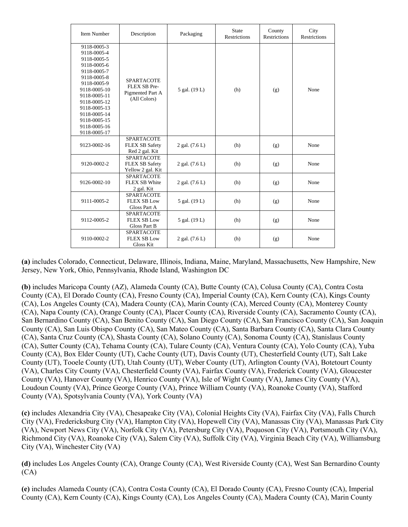| Item Number                                                                                                                                                                                                                           | Description                                                           | Packaging      | <b>State</b><br><b>Restrictions</b> | County<br><b>Restrictions</b> | City<br><b>Restrictions</b> |
|---------------------------------------------------------------------------------------------------------------------------------------------------------------------------------------------------------------------------------------|-----------------------------------------------------------------------|----------------|-------------------------------------|-------------------------------|-----------------------------|
| 9118-0005-3<br>9118-0005-4<br>9118-0005-5<br>9118-0005-6<br>9118-0005-7<br>9118-0005-8<br>9118-0005-9<br>9118-0005-10<br>9118-0005-11<br>9118-0005-12<br>9118-0005-13<br>9118-0005-14<br>9118-0005-15<br>9118-0005-16<br>9118-0005-17 | <b>SPARTACOTE</b><br>FLEX SB Pre-<br>Pigmented Part A<br>(All Colors) | 5 gal. (19 L)  | (h)                                 | (g)                           | None                        |
| 9123-0002-16                                                                                                                                                                                                                          | <b>SPARTACOTE</b><br><b>FLEX SB Safety</b><br>Red 2 gal. Kit          | 2 gal. (7.6 L) | (h)                                 | (g)                           | None                        |
| 9120-0002-2                                                                                                                                                                                                                           | <b>SPARTACOTE</b><br><b>FLEX SB Safety</b><br>Yellow 2 gal. Kit       | 2 gal. (7.6 L) | (h)                                 | (g)                           | None                        |
| 9126-0002-10                                                                                                                                                                                                                          | <b>SPARTACOTE</b><br><b>FLEX SB White</b><br>2 gal. Kit               | 2 gal. (7.6 L) | (h)                                 | (g)                           | None                        |
| 9111-0005-2                                                                                                                                                                                                                           | <b>SPARTACOTE</b><br><b>FLEX SB Low</b><br>Gloss Part A               | 5 gal. (19 L)  | (h)                                 | (g)                           | None                        |
| 9112-0005-2                                                                                                                                                                                                                           | <b>SPARTACOTE</b><br><b>FLEX SB Low</b><br>Gloss Part B               | 5 gal. (19 L)  | (h)                                 | (g)                           | None                        |
| 9110-0002-2                                                                                                                                                                                                                           | <b>SPARTACOTE</b><br><b>FLEX SB Low</b><br>Gloss Kit                  | 2 gal. (7.6 L) | (h)                                 | (g)                           | None                        |

**(a)** includes Colorado, Connecticut, Delaware, Illinois, Indiana, Maine, Maryland, Massachusetts, New Hampshire, New Jersey, New York, Ohio, Pennsylvania, Rhode Island, Washington DC

**(b)** includes Maricopa County (AZ), Alameda County (CA), Butte County (CA), Colusa County (CA), Contra Costa County (CA), El Dorado County (CA), Fresno County (CA), Imperial County (CA), Kern County (CA), Kings County (CA), Los Angeles County (CA), Madera County (CA), Marin County (CA), Merced County (CA), Monterey County (CA), Napa County (CA), Orange County (CA), Placer County (CA), Riverside County (CA), Sacramento County (CA), San Bernardino County (CA), San Benito County (CA), San Diego County (CA), San Francisco County (CA), San Joaquin County (CA), San Luis Obispo County (CA), San Mateo County (CA), Santa Barbara County (CA), Santa Clara County (CA), Santa Cruz County (CA), Shasta County (CA), Solano County (CA), Sonoma County (CA), Stanislaus County (CA), Sutter County (CA), Tehama County (CA), Tulare County (CA), Ventura County (CA), Yolo County (CA), Yuba County (CA), Box Elder County (UT), Cache County (UT), Davis County (UT), Chesterfield County (UT), Salt Lake County (UT), Tooele County (UT), Utah County (UT), Weber County (UT), Arlington County (VA), Botetourt County (VA), Charles City County (VA), Chesterfield County (VA), Fairfax County (VA), Frederick County (VA), Gloucester County (VA), Hanover County (VA), Henrico County (VA), Isle of Wight County (VA), James City County (VA), Loudoun County (VA), Prince George County (VA), Prince William County (VA), Roanoke County (VA), Stafford County (VA), Spotsylvania County (VA), York County (VA)

**(c)** includes Alexandria City (VA), Chesapeake City (VA), Colonial Heights City (VA), Fairfax City (VA), Falls Church City (VA), Fredericksburg City (VA), Hampton City (VA), Hopewell City (VA), Manassas City (VA), Manassas Park City (VA), Newport News City (VA), Norfolk City (VA), Petersburg City (VA), Poquoson City (VA), Portsmouth City (VA), Richmond City (VA), Roanoke City (VA), Salem City (VA), Suffolk City (VA), Virginia Beach City (VA), Williamsburg City (VA), Winchester City (VA)

**(d)** includes Los Angeles County (CA), Orange County (CA), West Riverside County (CA), West San Bernardino County (CA)

**(e)** includes Alameda County (CA), Contra Costa County (CA), El Dorado County (CA), Fresno County (CA), Imperial County (CA), Kern County (CA), Kings County (CA), Los Angeles County (CA), Madera County (CA), Marin County